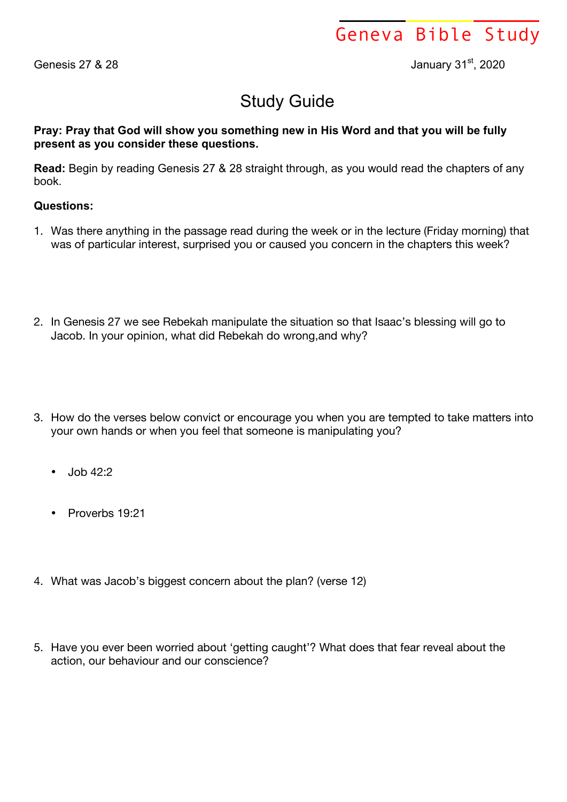Geneva Bible Study

Genesis 27 & 28 January 31<sup>st</sup>, 2020

## Study Guide

## **Pray: Pray that God will show you something new in His Word and that you will be fully present as you consider these questions.**

**Read:** Begin by reading Genesis 27 & 28 straight through, as you would read the chapters of any book.

## **Questions:**

- 1. Was there anything in the passage read during the week or in the lecture (Friday morning) that was of particular interest, surprised you or caused you concern in the chapters this week?
- 2. In Genesis 27 we see Rebekah manipulate the situation so that Isaac's blessing will go to Jacob. In your opinion, what did Rebekah do wrong,and why?
- 3. How do the verses below convict or encourage you when you are tempted to take matters into your own hands or when you feel that someone is manipulating you?
	- Job 42:2
	- Proverbs 19:21
- 4. What was Jacob's biggest concern about the plan? (verse 12)
- 5. Have you ever been worried about 'getting caught'? What does that fear reveal about the action, our behaviour and our conscience?